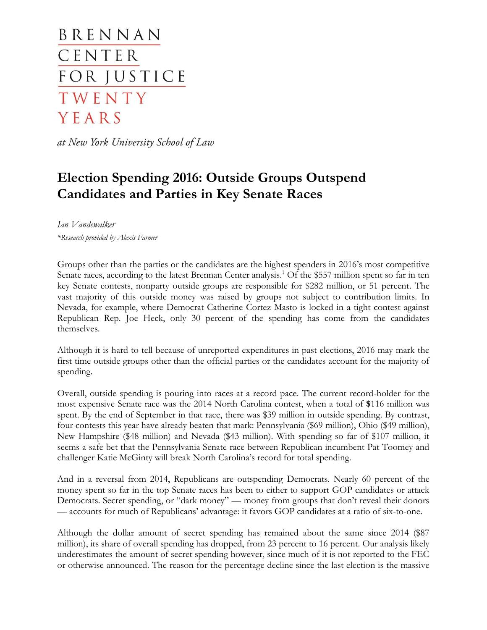BRENNAN CENTER FOR JUSTICE TWENTY YEARS

at New York University School of Law

# **Election Spending 2016: Outside Groups Outspend Candidates and Parties in Key Senate Races**

*Ian Vandewalker \*Research provided by Alexis Farmer*

Groups other than the parties or the candidates are the highest spenders in 2016's most competitive Senate races, according to the latest Brennan Center analysis.<sup>1</sup> Of the \$557 million spent so far in ten key Senate contests, nonparty outside groups are responsible for \$282 million, or 51 percent. The vast majority of this outside money was raised by groups not subject to contribution limits. In Nevada, for example, where Democrat Catherine Cortez Masto is locked in a tight contest against Republican Rep. Joe Heck, only 30 percent of the spending has come from the candidates themselves.

Although it is hard to tell because of unreported expenditures in past elections, 2016 may mark the first time outside groups other than the official parties or the candidates account for the majority of spending.

Overall, outside spending is pouring into races at a record pace. The current record-holder for the most expensive Senate race was the 2014 North Carolina contest, when a total of **\$**116 million was spent. By the end of September in that race, there was \$39 million in outside spending. By contrast, four contests this year have already beaten that mark: Pennsylvania (\$69 million), Ohio (\$49 million), New Hampshire (\$48 million) and Nevada (\$43 million). With spending so far of \$107 million, it seems a safe bet that the Pennsylvania Senate race between Republican incumbent Pat Toomey and challenger Katie McGinty will break North Carolina's record for total spending.

And in a reversal from 2014, Republicans are outspending Democrats. Nearly 60 percent of the money spent so far in the top Senate races has been to either to support GOP candidates or attack Democrats. Secret spending, or "dark money" — money from groups that don't reveal their donors — accounts for much of Republicans' advantage: it favors GOP candidates at a ratio of six-to-one.

Although the dollar amount of secret spending has remained about the same since 2014 (\$87 million), its share of overall spending has dropped, from 23 percent to 16 percent. Our analysis likely underestimates the amount of secret spending however, since much of it is not reported to the FEC or otherwise announced. The reason for the percentage decline since the last election is the massive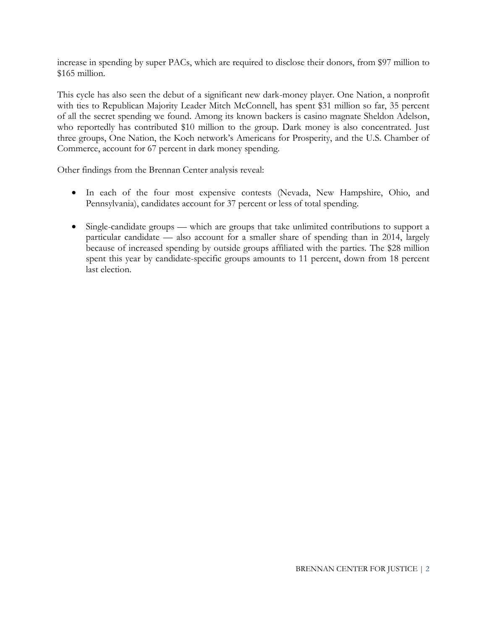increase in spending by super PACs, which are required to disclose their donors, from \$97 million to \$165 million.

This cycle has also seen the debut of a significant new dark-money player. One Nation, a nonprofit with ties to Republican Majority Leader Mitch McConnell, has spent \$31 million so far, 35 percent of all the secret spending we found. Among its known backers is casino magnate Sheldon Adelson, who reportedly has contributed \$10 million to the group. Dark money is also concentrated. Just three groups, One Nation, the Koch network's Americans for Prosperity, and the U.S. Chamber of Commerce, account for 67 percent in dark money spending.

Other findings from the Brennan Center analysis reveal:

- In each of the four most expensive contests (Nevada, New Hampshire, Ohio, and Pennsylvania), candidates account for 37 percent or less of total spending.
- Single-candidate groups which are groups that take unlimited contributions to support a particular candidate — also account for a smaller share of spending than in 2014, largely because of increased spending by outside groups affiliated with the parties. The \$28 million spent this year by candidate-specific groups amounts to 11 percent, down from 18 percent last election.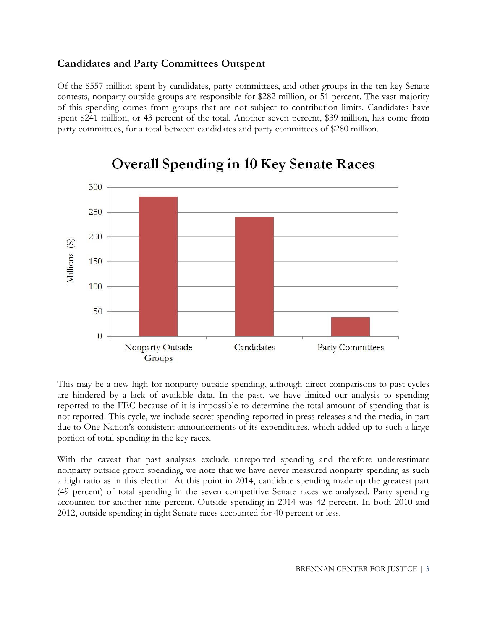## **Candidates and Party Committees Outspent**

Of the \$557 million spent by candidates, party committees, and other groups in the ten key Senate contests, nonparty outside groups are responsible for \$282 million, or 51 percent. The vast majority of this spending comes from groups that are not subject to contribution limits. Candidates have spent \$241 million, or 43 percent of the total. Another seven percent, \$39 million, has come from party committees, for a total between candidates and party committees of \$280 million.



# **Overall Spending in 10 Key Senate Races**

This may be a new high for nonparty outside spending, although direct comparisons to past cycles are hindered by a lack of available data. In the past, we have limited our analysis to spending reported to the FEC because of it is impossible to determine the total amount of spending that is not reported. This cycle, we include secret spending reported in press releases and the media, in part due to One Nation's consistent announcements of its expenditures, which added up to such a large portion of total spending in the key races.

With the caveat that past analyses exclude unreported spending and therefore underestimate nonparty outside group spending, we note that we have never measured nonparty spending as such a high ratio as in this election. At this point in 2014, candidate spending made up the greatest part (49 percent) of total spending in the seven competitive Senate races we analyzed. Party spending accounted for another nine percent. Outside spending in 2014 was 42 percent. In both 2010 and 2012, outside spending in tight Senate races accounted for 40 percent or less.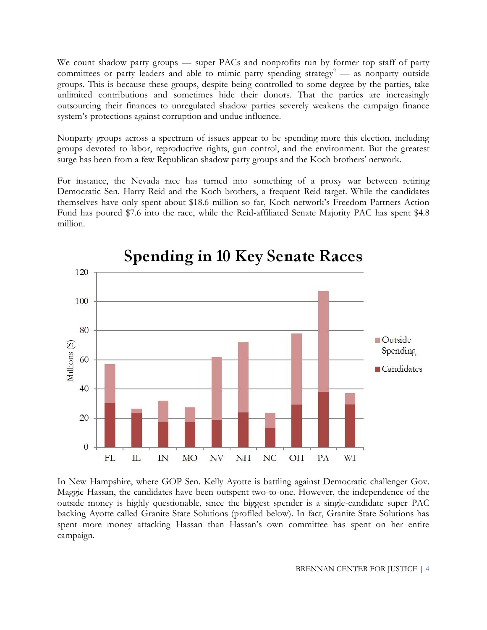We count shadow party groups — super PACs and nonprofits run by former top staff of party committees or party leaders and able to mimic party spending strategy<sup>2</sup> — as nonparty outside groups. This is because these groups, despite being controlled to some degree by the parties, take unlimited contributions and sometimes hide their donors. That the parties are increasingly outsourcing their finances to unregulated shadow parties severely weakens the campaign finance system's protections against corruption and undue influence.

Nonparty groups across a spectrum of issues appear to be spending more this election, including groups devoted to labor, reproductive rights, gun control, and the environment. But the greatest surge has been from a few Republican shadow party groups and the Koch brothers' network.

For instance, the Nevada race has turned into something of a proxy war between retiring Democratic Sen. Harry Reid and the Koch brothers, a frequent Reid target. While the candidates themselves have only spent about \$18.6 million so far, Koch network's Freedom Partners Action Fund has poured \$7.6 into the race, while the Reid-affiliated Senate Majority PAC has spent \$4.8 million.



In New Hampshire, where GOP Sen. Kelly Ayotte is battling against Democratic challenger Gov. Maggie Hassan, the candidates have been outspent two-to-one. However, the independence of the outside money is highly questionable, since the biggest spender is a single-candidate super PAC backing Ayotte called Granite State Solutions (profiled below). In fact, Granite State Solutions has spent more money attacking Hassan than Hassan's own committee has spent on her entire campaign.

BRENNAN CENTER FOR JUSTICE | 4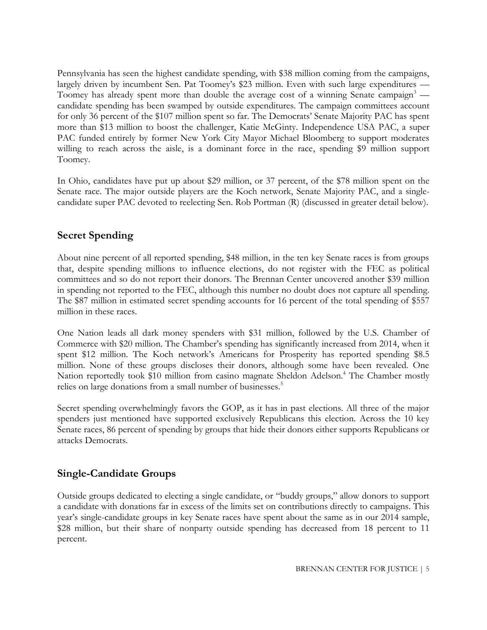Pennsylvania has seen the highest candidate spending, with \$38 million coming from the campaigns, largely driven by incumbent Sen. Pat Toomey's \$23 million. Even with such large expenditures — Toomey has already spent more than double the average cost of a winning Senate campaign<sup>3</sup> candidate spending has been swamped by outside expenditures. The campaign committees account for only 36 percent of the \$107 million spent so far. The Democrats' Senate Majority PAC has spent more than \$13 million to boost the challenger, Katie McGinty. Independence USA PAC, a super PAC funded entirely by former New York City Mayor Michael Bloomberg to support moderates willing to reach across the aisle, is a dominant force in the race, spending \$9 million support Toomey.

In Ohio, candidates have put up about \$29 million, or 37 percent, of the \$78 million spent on the Senate race. The major outside players are the Koch network, Senate Majority PAC, and a singlecandidate super PAC devoted to reelecting Sen. Rob Portman (R) (discussed in greater detail below).

# **Secret Spending**

About nine percent of all reported spending, \$48 million, in the ten key Senate races is from groups that, despite spending millions to influence elections, do not register with the FEC as political committees and so do not report their donors. The Brennan Center uncovered another \$39 million in spending not reported to the FEC, although this number no doubt does not capture all spending. The \$87 million in estimated secret spending accounts for 16 percent of the total spending of \$557 million in these races.

One Nation leads all dark money spenders with \$31 million, followed by the U.S. Chamber of Commerce with \$20 million. The Chamber's spending has significantly increased from 2014, when it spent \$12 million. The Koch network's Americans for Prosperity has reported spending \$8.5 million. None of these groups discloses their donors, although some have been revealed. One Nation reportedly took \$10 million from casino magnate Sheldon Adelson.<sup>4</sup> The Chamber mostly relies on large donations from a small number of businesses.<sup>5</sup>

Secret spending overwhelmingly favors the GOP, as it has in past elections. All three of the major spenders just mentioned have supported exclusively Republicans this election. Across the 10 key Senate races, 86 percent of spending by groups that hide their donors either supports Republicans or attacks Democrats.

## **Single-Candidate Groups**

Outside groups dedicated to electing a single candidate, or "buddy groups," allow donors to support a candidate with donations far in excess of the limits set on contributions directly to campaigns. This year's single-candidate groups in key Senate races have spent about the same as in our 2014 sample, \$28 million, but their share of nonparty outside spending has decreased from 18 percent to 11 percent.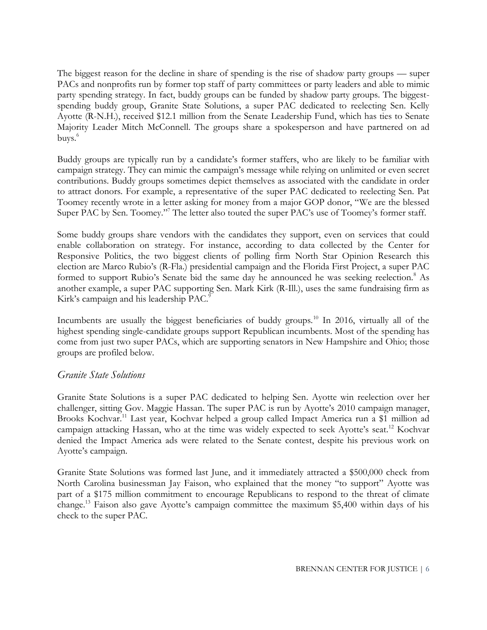The biggest reason for the decline in share of spending is the rise of shadow party groups — super PACs and nonprofits run by former top staff of party committees or party leaders and able to mimic party spending strategy. In fact, buddy groups can be funded by shadow party groups. The biggestspending buddy group, Granite State Solutions, a super PAC dedicated to reelecting Sen. Kelly Ayotte (R-N.H.), received \$12.1 million from the Senate Leadership Fund, which has ties to Senate Majority Leader Mitch McConnell. The groups share a spokesperson and have partnered on ad buys.<sup>6</sup>

Buddy groups are typically run by a candidate's former staffers, who are likely to be familiar with campaign strategy. They can mimic the campaign's message while relying on unlimited or even secret contributions. Buddy groups sometimes depict themselves as associated with the candidate in order to attract donors. For example, a representative of the super PAC dedicated to reelecting Sen. Pat Toomey recently wrote in a letter asking for money from a major GOP donor, "We are the blessed Super PAC by Sen. Toomey."<sup>7</sup> The letter also touted the super PAC's use of Toomey's former staff.

Some buddy groups share vendors with the candidates they support, even on services that could enable collaboration on strategy. For instance, according to data collected by the Center for Responsive Politics, the two biggest clients of polling firm North Star Opinion Research this election are Marco Rubio's (R-Fla.) presidential campaign and the Florida First Project, a super PAC formed to support Rubio's Senate bid the same day he announced he was seeking reelection.<sup>8</sup> As another example, a super PAC supporting Sen. Mark Kirk (R-Ill.), uses the same fundraising firm as Kirk's campaign and his leadership PAC.<sup>9</sup>

Incumbents are usually the biggest beneficiaries of buddy groups.<sup>10</sup> In 2016, virtually all of the highest spending single-candidate groups support Republican incumbents. Most of the spending has come from just two super PACs, which are supporting senators in New Hampshire and Ohio; those groups are profiled below.

#### *Granite State Solutions*

Granite State Solutions is a super PAC dedicated to helping Sen. Ayotte win reelection over her challenger, sitting Gov. Maggie Hassan. The super PAC is run by Ayotte's 2010 campaign manager, Brooks Kochvar.<sup>11</sup> Last year, Kochvar helped a group called Impact America run a \$1 million ad campaign attacking Hassan, who at the time was widely expected to seek Ayotte's seat.<sup>12</sup> Kochvar denied the Impact America ads were related to the Senate contest, despite his previous work on Ayotte's campaign.

Granite State Solutions was formed last June, and it immediately attracted a \$500,000 check from North Carolina businessman Jay Faison, who explained that the money "to support" Ayotte was part of a \$175 million commitment to encourage Republicans to respond to the threat of climate change.<sup>13</sup> Faison also gave Ayotte's campaign committee the maximum \$5,400 within days of his check to the super PAC.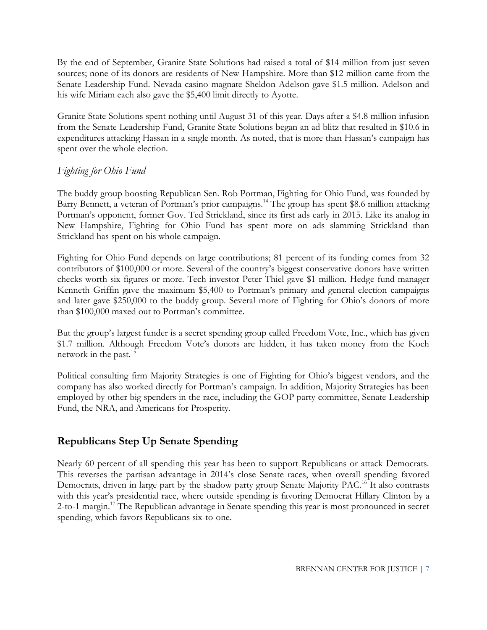By the end of September, Granite State Solutions had raised a total of \$14 million from just seven sources; none of its donors are residents of New Hampshire. More than \$12 million came from the Senate Leadership Fund. Nevada casino magnate Sheldon Adelson gave \$1.5 million. Adelson and his wife Miriam each also gave the \$5,400 limit directly to Ayotte.

Granite State Solutions spent nothing until August 31 of this year. Days after a \$4.8 million infusion from the Senate Leadership Fund, Granite State Solutions began an ad blitz that resulted in \$10.6 in expenditures attacking Hassan in a single month. As noted, that is more than Hassan's campaign has spent over the whole election.

## *Fighting for Ohio Fund*

The buddy group boosting Republican Sen. Rob Portman, Fighting for Ohio Fund, was founded by Barry Bennett, a veteran of Portman's prior campaigns.<sup>14</sup> The group has spent \$8.6 million attacking Portman's opponent, former Gov. Ted Strickland, since its first ads early in 2015. Like its analog in New Hampshire, Fighting for Ohio Fund has spent more on ads slamming Strickland than Strickland has spent on his whole campaign.

Fighting for Ohio Fund depends on large contributions; 81 percent of its funding comes from 32 contributors of \$100,000 or more. Several of the country's biggest conservative donors have written checks worth six figures or more. Tech investor Peter Thiel gave \$1 million. Hedge fund manager Kenneth Griffin gave the maximum \$5,400 to Portman's primary and general election campaigns and later gave \$250,000 to the buddy group. Several more of Fighting for Ohio's donors of more than \$100,000 maxed out to Portman's committee.

But the group's largest funder is a secret spending group called Freedom Vote, Inc., which has given \$1.7 million. Although Freedom Vote's donors are hidden, it has taken money from the Koch network in the past. $15$ 

Political consulting firm Majority Strategies is one of Fighting for Ohio's biggest vendors, and the company has also worked directly for Portman's campaign. In addition, Majority Strategies has been employed by other big spenders in the race, including the GOP party committee, Senate Leadership Fund, the NRA, and Americans for Prosperity.

## **Republicans Step Up Senate Spending**

Nearly 60 percent of all spending this year has been to support Republicans or attack Democrats. This reverses the partisan advantage in 2014's close Senate races, when overall spending favored Democrats, driven in large part by the shadow party group Senate Majority PAC.<sup>16</sup> It also contrasts with this year's presidential race, where outside spending is favoring Democrat Hillary Clinton by a 2-to-1 margin.<sup>17</sup> The Republican advantage in Senate spending this year is most pronounced in secret spending, which favors Republicans six-to-one.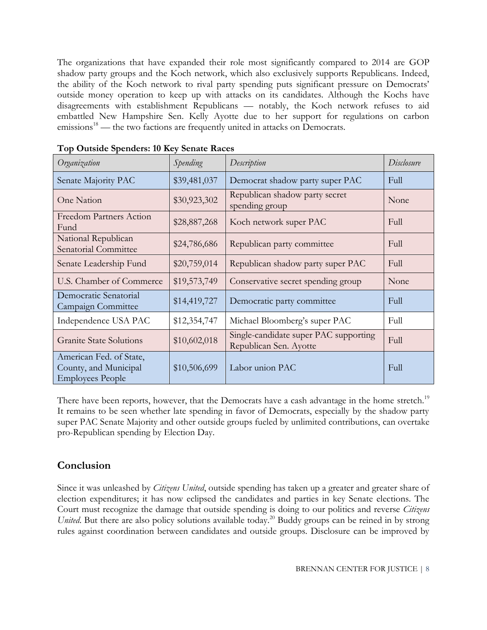The organizations that have expanded their role most significantly compared to 2014 are GOP shadow party groups and the Koch network, which also exclusively supports Republicans. Indeed, the ability of the Koch network to rival party spending puts significant pressure on Democrats' outside money operation to keep up with attacks on its candidates. Although the Kochs have disagreements with establishment Republicans — notably, the Koch network refuses to aid embattled New Hampshire Sen. Kelly Ayotte due to her support for regulations on carbon  $e$ missions<sup>18</sup> — the two factions are frequently united in attacks on Democrats.

| Organization                                                                | Spending     | Description                                                     | Disclosure |
|-----------------------------------------------------------------------------|--------------|-----------------------------------------------------------------|------------|
| Senate Majority PAC                                                         | \$39,481,037 | Democrat shadow party super PAC                                 | Full       |
| One Nation                                                                  | \$30,923,302 | Republican shadow party secret<br>spending group                | None       |
| <b>Freedom Partners Action</b><br>Fund                                      | \$28,887,268 | Koch network super PAC                                          | Full       |
| National Republican<br>Senatorial Committee                                 | \$24,786,686 | Republican party committee                                      | Full       |
| Senate Leadership Fund                                                      | \$20,759,014 | Republican shadow party super PAC                               | Full       |
| U.S. Chamber of Commerce                                                    | \$19,573,749 | Conservative secret spending group                              | None       |
| Democratic Senatorial<br>Campaign Committee                                 | \$14,419,727 | Democratic party committee                                      | Full       |
| Independence USA PAC                                                        | \$12,354,747 | Michael Bloomberg's super PAC                                   | Full       |
| <b>Granite State Solutions</b>                                              | \$10,602,018 | Single-candidate super PAC supporting<br>Republican Sen. Ayotte | Full       |
| American Fed. of State,<br>County, and Municipal<br><b>Employees People</b> | \$10,506,699 | Labor union PAC                                                 | Full       |

**Top Outside Spenders: 10 Key Senate Races**

There have been reports, however, that the Democrats have a cash advantage in the home stretch.<sup>19</sup> It remains to be seen whether late spending in favor of Democrats, especially by the shadow party super PAC Senate Majority and other outside groups fueled by unlimited contributions, can overtake pro-Republican spending by Election Day.

## **Conclusion**

Since it was unleashed by *Citizens United*, outside spending has taken up a greater and greater share of election expenditures; it has now eclipsed the candidates and parties in key Senate elections. The Court must recognize the damage that outside spending is doing to our politics and reverse *Citizens United*. But there are also policy solutions available today.<sup>20</sup> Buddy groups can be reined in by strong rules against coordination between candidates and outside groups. Disclosure can be improved by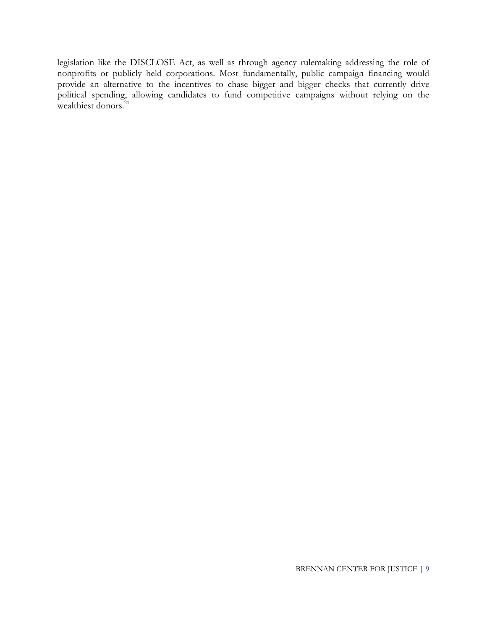legislation like the DISCLOSE Act, as well as through agency rulemaking addressing the role of nonprofits or publicly held corporations. Most fundamentally, public campaign financing would provide an alternative to the incentives to chase bigger and bigger checks that currently drive political spending, allowing candidates to fund competitive campaigns without relying on the wealthiest donors. $^{21}$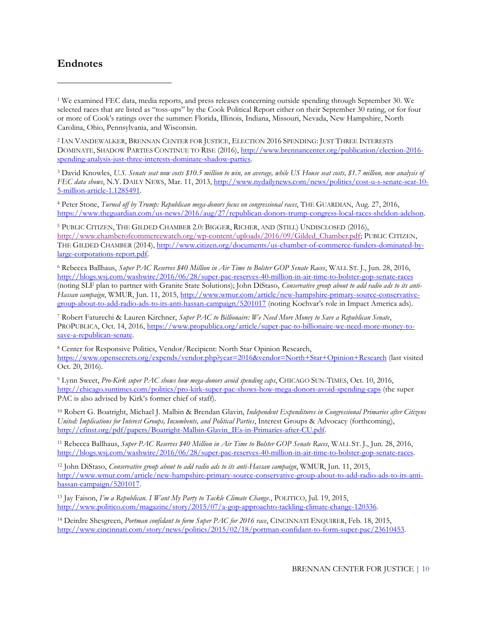### **Endnotes**

 $\overline{a}$ 

<sup>1</sup> We examined FEC data, media reports, and press releases concerning outside spending through September 30. We selected races that are listed as "toss-ups" by the Cook Political Report either on their September 30 rating, or for four or more of Cook's ratings over the summer: Florida, Illinois, Indiana, Missouri, Nevada, New Hampshire, North Carolina, Ohio, Pennsylvania, and Wisconsin.

<sup>2</sup> IAN VANDEWALKER, BRENNAN CENTER FOR JUSTICE, ELECTION 2016 SPENDING: JUST THREE INTERESTS DOMINATE, SHADOW PARTIES CONTINUE TO RISE (2016), [http://www.brennancenter.org/publication/election-2016](http://www.brennancenter.org/publication/election-2016-spending-analysis-just-three-interests-dominate-shadow-parties) [spending-analysis-just-three-interests-dominate-shadow-parties.](http://www.brennancenter.org/publication/election-2016-spending-analysis-just-three-interests-dominate-shadow-parties)

<sup>3</sup> David Knowles, *U.S. Senate seat now costs \$10.5 million to win, on average, while US House seat costs, \$1.7 million, new analysis of FEC data shows*, N.Y. DAILY NEWS, Mar. 11, 2013, [http://www.nydailynews.com/news/politics/cost-u-s-senate-seat-10-](http://www.nydailynews.com/news/politics/cost-u-s-senate-seat-10-5-million-article-1.1285491) [5-million-article-1.1285491.](http://www.nydailynews.com/news/politics/cost-u-s-senate-seat-10-5-million-article-1.1285491)

<sup>4</sup> Peter Stone, *Turned off by Trump: Republican mega-donors focus on congressional races*, THE GUARDIAN, Aug. 27, 2016, [https://www.theguardian.com/us-news/2016/aug/27/republican-donors-trump-congress-local-races-sheldon-adelson.](https://www.theguardian.com/us-news/2016/aug/27/republican-donors-trump-congress-local-races-sheldon-adelson)

<sup>5</sup> PUBLIC CITIZEN, THE GILDED CHAMBER 2.0: BIGGER, RICHER, AND (STILL) UNDISCLOSED (2016), [http://www.chamberofcommercewatch.org/wp-content/uploads/2016/09/Gilded\\_Chamber.pdf;](http://www.chamberofcommercewatch.org/wp-content/uploads/2016/09/Gilded_Chamber.pdf) PUBLIC CITIZEN, THE GILDED CHAMBER (2014), [http://www.citizen.org/documents/us-chamber-of-commerce-funders-dominated-by](http://www.citizen.org/documents/us-chamber-of-commerce-funders-dominated-by-large-corporations-report.pdf)[large-corporations-report.pdf.](http://www.citizen.org/documents/us-chamber-of-commerce-funders-dominated-by-large-corporations-report.pdf) 

<sup>6</sup> Rebecca Ballhaus, *Super PAC Reserves \$40 Million in Air Time to Bolster GOP Senate Races*, WALL ST. J., Jun. 28, 2016, <http://blogs.wsj.com/washwire/2016/06/28/super-pac-reserves-40-million-in-air-time-to-bolster-gop-senate-races> (noting SLF plan to partner with Granite State Solutions); John DiStaso, *Conservative group about to add radio ads to its anti-Hassan campaign*, WMUR, Jun. 11, 2015, [http://www.wmur.com/article/new-hampshire-primary-source-conservative](http://www.wmur.com/article/new-hampshire-primary-source-conservative-group-about-to-add-radio-ads-to-its-anti-hassan-campaign/5201017)[group-about-to-add-radio-ads-to-its-anti-hassan-campaign/5201017](http://www.wmur.com/article/new-hampshire-primary-source-conservative-group-about-to-add-radio-ads-to-its-anti-hassan-campaign/5201017) (noting Kochvar's role in Impact America ads).

<sup>7</sup> Robert Faturechi & Lauren Kirchner, *Super PAC to Billionaire: We Need More Money to Save a Republican Senate*, PROPUBLICA, Oct. 14, 2016, [https://www.propublica.org/article/super-pac-to-billionaire-we-need-more-money-to](https://www.propublica.org/article/super-pac-to-billionaire-we-need-more-money-to-save-a-republican-senate)[save-a-republican-senate.](https://www.propublica.org/article/super-pac-to-billionaire-we-need-more-money-to-save-a-republican-senate) 

<sup>8</sup> Center for Responsive Politics, Vendor/Recipient: North Star Opinion Research, <https://www.opensecrets.org/expends/vendor.php?year=2016&vendor=North+Star+Opinion+Research> (last visited Oct. 20, 2016).

<sup>9</sup> Lynn Sweet, *Pro-Kirk super PAC shows how mega-donors avoid spending caps*, CHICAGO SUN-TIMES, Oct. 10, 2016, <http://chicago.suntimes.com/politics/pro-kirk-super-pac-shows-how-mega-donors-avoid-spending-caps> (the super PAC is also advised by Kirk's former chief of staff).

<sup>10</sup> Robert G. Boatright, Michael J. Malbin & Brendan Glavin, *Independent Expenditures in Congressional Primaries after Citizens United: Implications for Interest Groups, Incumbents, and Political Parties*, Interest Groups & Advocacy (forthcoming), [http://cfinst.org/pdf/papers/Boatright-Malbin-Glavin\\_IEs-in-Primaries-after-CU.pdf.](http://cfinst.org/pdf/papers/Boatright-Malbin-Glavin_IEs-in-Primaries-after-CU.pdf)

<sup>11</sup> Rebecca Ballhaus, *Super PAC Reserves \$40 Million in Air Time to Bolster GOP Senate Races*, WALL ST. J., Jun. 28, 2016, [http://blogs.wsj.com/washwire/2016/06/28/super-pac-reserves-40-million-in-air-time-to-bolster-gop-senate-races.](http://blogs.wsj.com/washwire/2016/06/28/super-pac-reserves-40-million-in-air-time-to-bolster-gop-senate-races)

<sup>12</sup> John DiStaso, *Conservative group about to add radio ads to its anti-Hassan campaign*, WMUR, Jun. 11, 2015, [http://www.wmur.com/article/new-hampshire-primary-source-conservative-group-about-to-add-radio-ads-to-its-anti](http://www.wmur.com/article/new-hampshire-primary-source-conservative-group-about-to-add-radio-ads-to-its-anti-hassan-campaign/5201017)[hassan-campaign/5201017.](http://www.wmur.com/article/new-hampshire-primary-source-conservative-group-about-to-add-radio-ads-to-its-anti-hassan-campaign/5201017)

<sup>13</sup> Jay Faison, *I'm a Republican. I Want My Party to Tackle Climate Change.*, POLITICO, Jul. 19, 2015, [http://www.politico.com/magazine/story/2015/07/a-gop-approachto-tackling-climate-change-120336.](http://www.politico.com/magazine/story/2015/07/a-gop-approachto-tackling-climate-change-120336) 

<sup>14</sup> Deirdre Shesgreen, *Portman confidant to form Super PAC for 2016 race*, CINCINNATI ENQUIRER, Feb. 18, 2015, [http://www.cincinnati.com/story/news/politics/2015/02/18/portman-confidant-to-form-super-pac/23610453.](http://www.cincinnati.com/story/news/politics/2015/02/18/portman-confidant-to-form-super-pac/23610453)